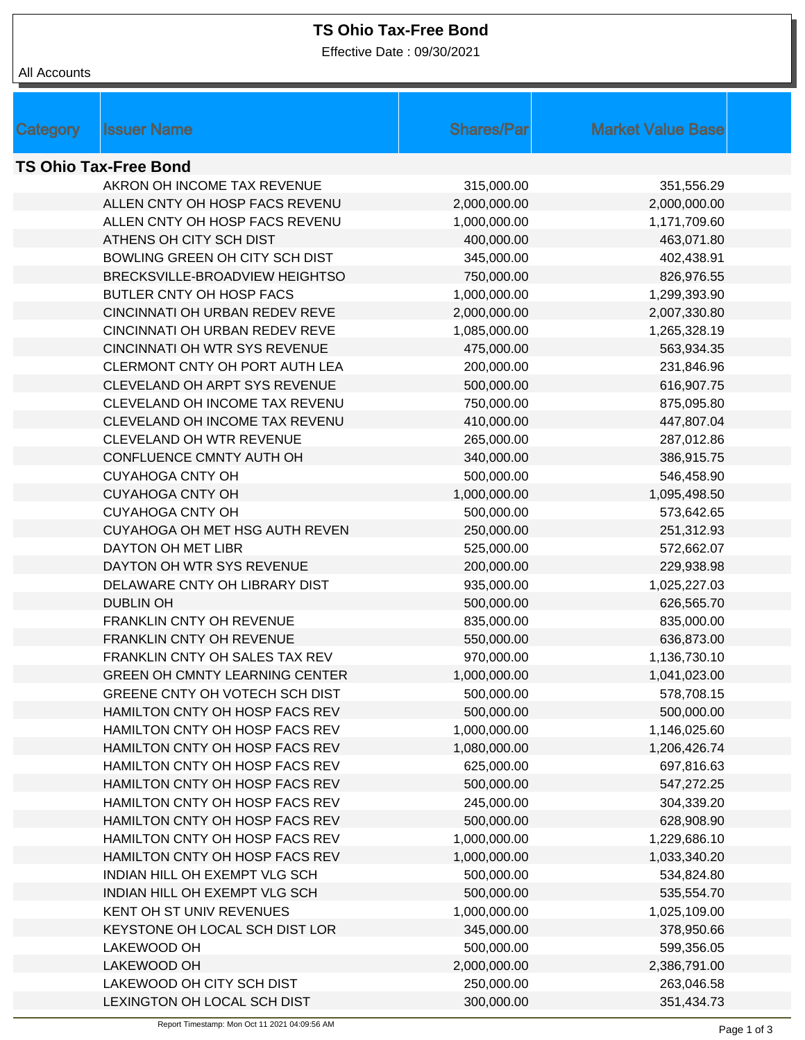## **TS Ohio Tax-Free Bond**

Effective Date : 09/30/2021

All Accounts

| Category                     | <b>Issuer Name</b>                    | <b>Shares/Par</b> | <b>Market Value Base</b> |  |  |  |  |  |
|------------------------------|---------------------------------------|-------------------|--------------------------|--|--|--|--|--|
| <b>TS Ohio Tax-Free Bond</b> |                                       |                   |                          |  |  |  |  |  |
|                              | AKRON OH INCOME TAX REVENUE           | 315,000.00        | 351,556.29               |  |  |  |  |  |
|                              | ALLEN CNTY OH HOSP FACS REVENU        | 2,000,000.00      | 2,000,000.00             |  |  |  |  |  |
|                              | ALLEN CNTY OH HOSP FACS REVENU        | 1,000,000.00      | 1,171,709.60             |  |  |  |  |  |
|                              | ATHENS OH CITY SCH DIST               | 400,000.00        | 463,071.80               |  |  |  |  |  |
|                              | BOWLING GREEN OH CITY SCH DIST        | 345,000.00        | 402,438.91               |  |  |  |  |  |
|                              | BRECKSVILLE-BROADVIEW HEIGHTSO        | 750,000.00        | 826,976.55               |  |  |  |  |  |
|                              | BUTLER CNTY OH HOSP FACS              | 1,000,000.00      | 1,299,393.90             |  |  |  |  |  |
|                              | CINCINNATI OH URBAN REDEV REVE        | 2,000,000.00      | 2,007,330.80             |  |  |  |  |  |
|                              | CINCINNATI OH URBAN REDEV REVE        | 1,085,000.00      | 1,265,328.19             |  |  |  |  |  |
|                              | <b>CINCINNATI OH WTR SYS REVENUE</b>  | 475,000.00        | 563,934.35               |  |  |  |  |  |
|                              | CLERMONT CNTY OH PORT AUTH LEA        | 200,000.00        | 231,846.96               |  |  |  |  |  |
|                              | CLEVELAND OH ARPT SYS REVENUE         | 500,000.00        | 616,907.75               |  |  |  |  |  |
|                              | CLEVELAND OH INCOME TAX REVENU        | 750,000.00        | 875,095.80               |  |  |  |  |  |
|                              | CLEVELAND OH INCOME TAX REVENU        | 410,000.00        | 447,807.04               |  |  |  |  |  |
|                              | CLEVELAND OH WTR REVENUE              | 265,000.00        | 287,012.86               |  |  |  |  |  |
|                              | CONFLUENCE CMNTY AUTH OH              | 340,000.00        | 386,915.75               |  |  |  |  |  |
|                              | <b>CUYAHOGA CNTY OH</b>               | 500,000.00        | 546,458.90               |  |  |  |  |  |
|                              | <b>CUYAHOGA CNTY OH</b>               | 1,000,000.00      | 1,095,498.50             |  |  |  |  |  |
|                              | <b>CUYAHOGA CNTY OH</b>               | 500,000.00        | 573,642.65               |  |  |  |  |  |
|                              | CUYAHOGA OH MET HSG AUTH REVEN        | 250,000.00        | 251,312.93               |  |  |  |  |  |
|                              | DAYTON OH MET LIBR                    | 525,000.00        | 572,662.07               |  |  |  |  |  |
|                              | DAYTON OH WTR SYS REVENUE             | 200,000.00        | 229,938.98               |  |  |  |  |  |
|                              | DELAWARE CNTY OH LIBRARY DIST         | 935,000.00        | 1,025,227.03             |  |  |  |  |  |
|                              | <b>DUBLIN OH</b>                      | 500,000.00        | 626,565.70               |  |  |  |  |  |
|                              | FRANKLIN CNTY OH REVENUE              | 835,000.00        | 835,000.00               |  |  |  |  |  |
|                              | FRANKLIN CNTY OH REVENUE              | 550,000.00        | 636,873.00               |  |  |  |  |  |
|                              | FRANKLIN CNTY OH SALES TAX REV        | 970,000.00        | 1,136,730.10             |  |  |  |  |  |
|                              | <b>GREEN OH CMNTY LEARNING CENTER</b> | 1,000,000.00      | 1,041,023.00             |  |  |  |  |  |
|                              | GREENE CNTY OH VOTECH SCH DIST        | 500,000.00        | 578,708.15               |  |  |  |  |  |
|                              | HAMILTON CNTY OH HOSP FACS REV        | 500,000.00        | 500,000.00               |  |  |  |  |  |
|                              | HAMILTON CNTY OH HOSP FACS REV        | 1,000,000.00      | 1,146,025.60             |  |  |  |  |  |
|                              | HAMILTON CNTY OH HOSP FACS REV        | 1,080,000.00      | 1,206,426.74             |  |  |  |  |  |
|                              | HAMILTON CNTY OH HOSP FACS REV        | 625,000.00        | 697,816.63               |  |  |  |  |  |
|                              | HAMILTON CNTY OH HOSP FACS REV        | 500,000.00        | 547,272.25               |  |  |  |  |  |
|                              | HAMILTON CNTY OH HOSP FACS REV        | 245,000.00        | 304,339.20               |  |  |  |  |  |
|                              | HAMILTON CNTY OH HOSP FACS REV        | 500,000.00        | 628,908.90               |  |  |  |  |  |
|                              | HAMILTON CNTY OH HOSP FACS REV        | 1,000,000.00      | 1,229,686.10             |  |  |  |  |  |
|                              | HAMILTON CNTY OH HOSP FACS REV        | 1,000,000.00      | 1,033,340.20             |  |  |  |  |  |
|                              | INDIAN HILL OH EXEMPT VLG SCH         | 500,000.00        | 534,824.80               |  |  |  |  |  |
|                              | INDIAN HILL OH EXEMPT VLG SCH         | 500,000.00        | 535,554.70               |  |  |  |  |  |
|                              | KENT OH ST UNIV REVENUES              | 1,000,000.00      | 1,025,109.00             |  |  |  |  |  |
|                              | KEYSTONE OH LOCAL SCH DIST LOR        | 345,000.00        | 378,950.66               |  |  |  |  |  |
|                              | LAKEWOOD OH                           | 500,000.00        | 599,356.05               |  |  |  |  |  |
|                              | LAKEWOOD OH                           | 2,000,000.00      | 2,386,791.00             |  |  |  |  |  |
|                              | LAKEWOOD OH CITY SCH DIST             | 250,000.00        | 263,046.58               |  |  |  |  |  |
|                              | LEXINGTON OH LOCAL SCH DIST           | 300,000.00        | 351,434.73               |  |  |  |  |  |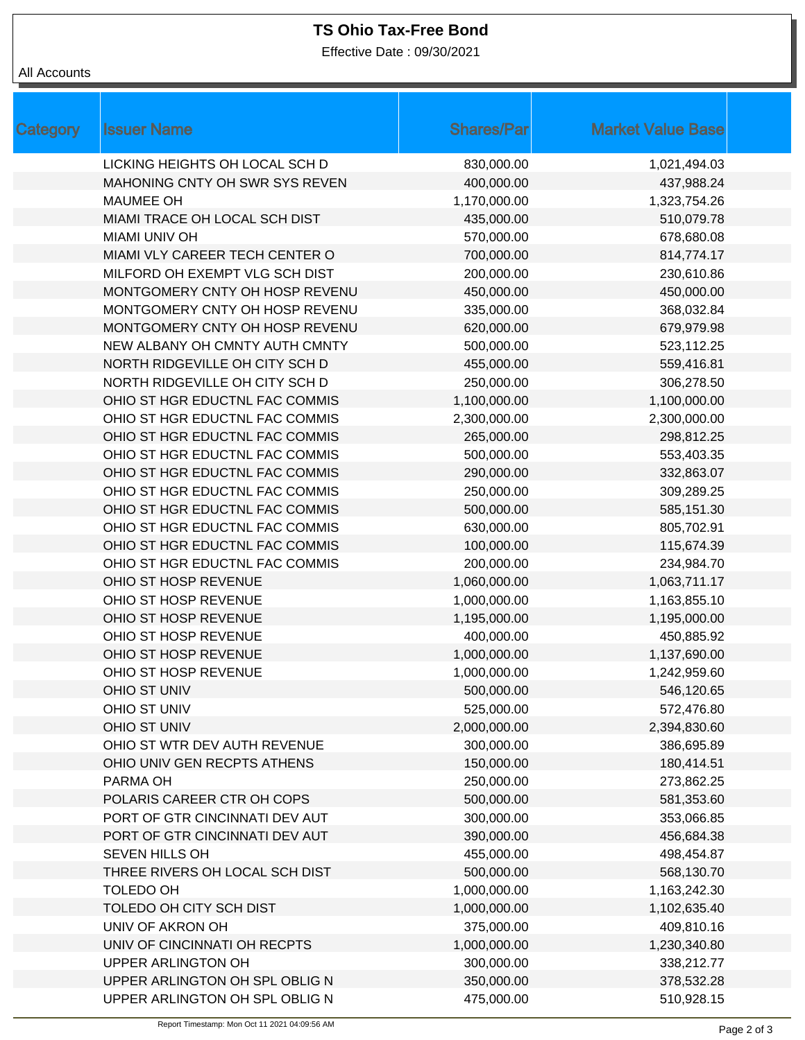## **TS Ohio Tax-Free Bond**

Effective Date : 09/30/2021

## All Accounts

| Category | <b>Issuer Name</b>                    | <b>Shares/Par</b> | <b>Market Value Base</b> |
|----------|---------------------------------------|-------------------|--------------------------|
|          | LICKING HEIGHTS OH LOCAL SCH D        | 830,000.00        | 1,021,494.03             |
|          | <b>MAHONING CNTY OH SWR SYS REVEN</b> | 400,000.00        | 437,988.24               |
|          | <b>MAUMEE OH</b>                      | 1,170,000.00      | 1,323,754.26             |
|          | MIAMI TRACE OH LOCAL SCH DIST         | 435,000.00        | 510,079.78               |
|          | <b>MIAMI UNIV OH</b>                  | 570,000.00        | 678,680.08               |
|          | MIAMI VLY CAREER TECH CENTER O        | 700,000.00        | 814,774.17               |
|          | MILFORD OH EXEMPT VLG SCH DIST        | 200,000.00        | 230,610.86               |
|          | MONTGOMERY CNTY OH HOSP REVENU        | 450,000.00        | 450,000.00               |
|          | MONTGOMERY CNTY OH HOSP REVENU        | 335,000.00        | 368,032.84               |
|          | MONTGOMERY CNTY OH HOSP REVENU        | 620,000.00        | 679,979.98               |
|          | NEW ALBANY OH CMNTY AUTH CMNTY        | 500,000.00        | 523,112.25               |
|          | NORTH RIDGEVILLE OH CITY SCH D        | 455,000.00        | 559,416.81               |
|          | NORTH RIDGEVILLE OH CITY SCH D        | 250,000.00        | 306,278.50               |
|          | OHIO ST HGR EDUCTNL FAC COMMIS        | 1,100,000.00      | 1,100,000.00             |
|          | OHIO ST HGR EDUCTNL FAC COMMIS        | 2,300,000.00      | 2,300,000.00             |
|          | OHIO ST HGR EDUCTNL FAC COMMIS        | 265,000.00        | 298,812.25               |
|          | OHIO ST HGR EDUCTNL FAC COMMIS        | 500,000.00        | 553,403.35               |
|          | OHIO ST HGR EDUCTNL FAC COMMIS        | 290,000.00        | 332,863.07               |
|          | OHIO ST HGR EDUCTNL FAC COMMIS        | 250,000.00        | 309,289.25               |
|          | OHIO ST HGR EDUCTNL FAC COMMIS        | 500,000.00        | 585,151.30               |
|          | OHIO ST HGR EDUCTNL FAC COMMIS        | 630,000.00        | 805,702.91               |
|          | OHIO ST HGR EDUCTNL FAC COMMIS        | 100,000.00        | 115,674.39               |
|          | OHIO ST HGR EDUCTNL FAC COMMIS        | 200,000.00        | 234,984.70               |
|          | OHIO ST HOSP REVENUE                  | 1,060,000.00      | 1,063,711.17             |
|          | OHIO ST HOSP REVENUE                  | 1,000,000.00      | 1,163,855.10             |
|          | OHIO ST HOSP REVENUE                  | 1,195,000.00      | 1,195,000.00             |
|          | OHIO ST HOSP REVENUE                  | 400,000.00        | 450,885.92               |
|          | OHIO ST HOSP REVENUE                  | 1,000,000.00      | 1,137,690.00             |
|          | OHIO ST HOSP REVENUE                  | 1,000,000.00      | 1,242,959.60             |
|          | <b>OHIO ST UNIV</b>                   | 500,000.00        | 546,120.65               |
|          | OHIO ST UNIV                          | 525,000.00        | 572,476.80               |
|          | OHIO ST UNIV                          | 2,000,000.00      | 2,394,830.60             |
|          | OHIO ST WTR DEV AUTH REVENUE          | 300,000.00        | 386,695.89               |
|          | OHIO UNIV GEN RECPTS ATHENS           | 150,000.00        | 180,414.51               |
|          | PARMA OH                              | 250,000.00        | 273,862.25               |
|          | POLARIS CAREER CTR OH COPS            | 500,000.00        | 581,353.60               |
|          | PORT OF GTR CINCINNATI DEV AUT        | 300,000.00        | 353,066.85               |
|          | PORT OF GTR CINCINNATI DEV AUT        | 390,000.00        | 456,684.38               |
|          | SEVEN HILLS OH                        | 455,000.00        | 498,454.87               |
|          | THREE RIVERS OH LOCAL SCH DIST        | 500,000.00        | 568,130.70               |
|          | TOLEDO OH                             | 1,000,000.00      | 1,163,242.30             |
|          | TOLEDO OH CITY SCH DIST               | 1,000,000.00      | 1,102,635.40             |
|          | UNIV OF AKRON OH                      | 375,000.00        | 409,810.16               |
|          | UNIV OF CINCINNATI OH RECPTS          | 1,000,000.00      | 1,230,340.80             |
|          | UPPER ARLINGTON OH                    | 300,000.00        | 338,212.77               |
|          | UPPER ARLINGTON OH SPL OBLIG N        | 350,000.00        | 378,532.28               |
|          | UPPER ARLINGTON OH SPL OBLIG N        | 475,000.00        | 510,928.15               |